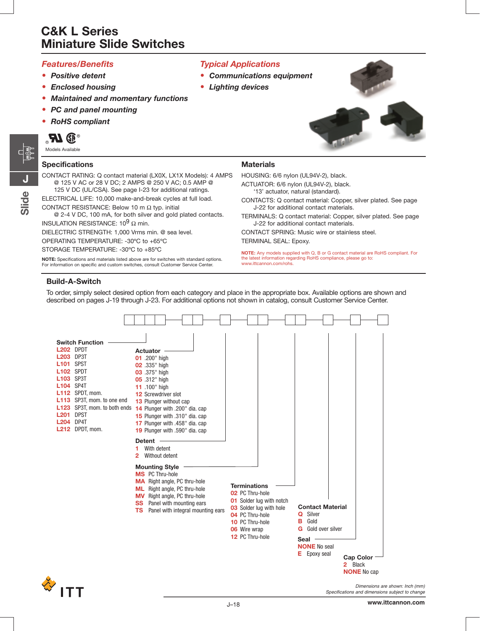#### *Features/Benefits*

- **•** *Positive detent*
- **•** *Enclosed housing*
- **•** *Maintained and momentary functions*
- **•** *PC and panel mounting*
- **•** *RoHS compliant*

Models Available

#### **Specifications**

CONTACT RATING: Q contact material (LX0X, LX1X Models): 4 AMPS @ 125 V AC or 28 V DC; 2 AMPS @ 250 V AC; 0.5 AMP @ 125 V DC (UL/CSA). See page I-23 for additional ratings.

ELECTRICAL LIFE: 10,000 make-and-break cycles at full load.

CONTACT RESISTANCE: Below 10 m Ω typ. initial

@ 2-4 V DC, 100 mA, for both silver and gold plated contacts. INSULATION RESISTANCE:  $10^9$  Ω min.

DIELECTRIC STRENGTH: 1,000 Vrms min. @ sea level.

OPERATING TEMPERATURE: -30ºC to +65ºC

STORAGE TEMPERATURE: -30ºC to +85ºC

**NOTE:** Specifications and materials listed above are for switches with standard options. For information on specific and custom switches, consult Customer Service Center.

### *Typical Applications*

- **•** *Communications equipment*
- **•** *Lighting devices*







## **Materials**

HOUSING: 6/6 nylon (UL94V-2), black.

ACTUATOR: 6/6 nylon (UL94V-2), black.

'13' actuator, natural (standard).

CONTACTS: Q contact material: Copper, silver plated. See page J-22 for additional contact materials.

TERMINALS: Q contact material: Copper, silver plated. See page J-22 for additional contact materials.

CONTACT SPRING: Music wire or stainless steel. TERMINAL SEAL: Epoxy.

**NOTE:** Any models supplied with Q, B or G contact material are RoHS compliant. For the latest information regarding RoHS compliance, please go to: www.ittcannon.com/rohs.

### **Build-A-Switch**

To order, simply select desired option from each category and place in the appropriate box. Available options are shown and described on pages J-19 through J-23. For additional options not shown in catalog, consult Customer Service Center.



Specifications and dimensions subject to change

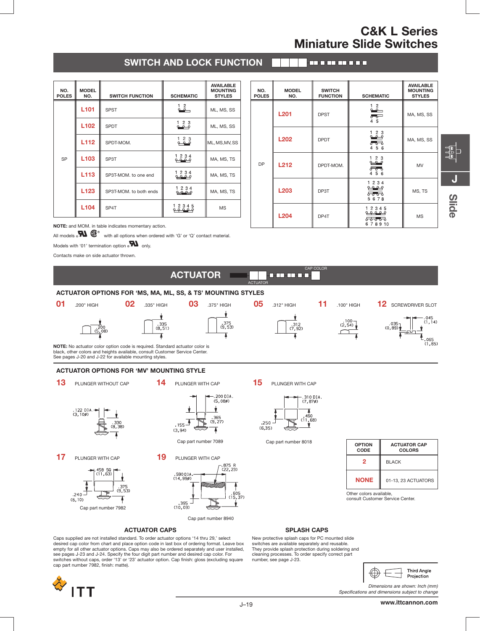## **SWITCH AND LOCK FUNCTION**

#### | an a-an-an-a-a-

| NO.<br><b>POLES</b> | <b>MODEL</b><br>NO. | <b>SWITCH FUNCTION</b> | <b>SCHEMATIC</b>            | <b>AVAILABLE</b><br><b>MOUNTING</b><br><b>STYLES</b> |
|---------------------|---------------------|------------------------|-----------------------------|------------------------------------------------------|
| <b>SP</b>           | L <sub>101</sub>    | <b>SPST</b>            | $\overset{1}{\bullet}$      | ML, MS, SS                                           |
|                     | L <sub>102</sub>    | <b>SPDT</b>            | 123<br>$\sim$ $\sim$ $\sim$ | ML, MS, SS                                           |
|                     | L <sub>112</sub>    | SPDT-MOM.              | 123<br>قمهم                 | ML, MS, MV, SS                                       |
|                     | L <sub>103</sub>    | SP3T                   | 1 2 3 4<br><u>مه مه</u>     | MA, MS, TS                                           |
|                     | L113                | SP3T-MOM. to one end   | 1 2 3 4<br><b>P2 0 0</b>    | MA, MS, TS                                           |
|                     | L <sub>123</sub>    | SP3T-MOM. to both ends | 1234<br><del>an an</del>    | MA, MS, TS                                           |
|                     | L104                | SP4T                   | 1 2 3 4 5                   | <b>MS</b>                                            |

| NO.<br><b>POLES</b> | <b>MODEL</b><br>NO. | <b>SWITCH</b><br><b>FUNCTION</b> | <b>SCHEMATIC</b>                                                                | <b>AVAILABLE</b><br><b>MOUNTING</b><br><b>STYLES</b> |
|---------------------|---------------------|----------------------------------|---------------------------------------------------------------------------------|------------------------------------------------------|
| <b>DP</b>           | <b>L201</b>         | <b>DPST</b>                      | $\overset{1}{\bullet}$<br>$\circ$ $\circ$<br>4 5                                | MA, MS, SS                                           |
|                     | <b>L202</b>         | <b>DPDT</b>                      | $\begin{smallmatrix} 1 & 2 & 3 \\ 2 & -2 & 3 \end{smallmatrix}$<br>ಕಕಾ<br>4 5 6 | MA, MS, SS                                           |
|                     | <b>L212</b>         | DPDT-MOM.                        | 1 2 3<br>$228 - 9$<br>$8\%$<br>4 5 6                                            | MV                                                   |
|                     | L203                | DP3T                             | 1 2 3 4<br><u>مو مو</u><br>ಕಾಕಾ<br>5678                                         | MS, TS                                               |
|                     | <b>L204</b>         | DP4T                             | 1 2 3 4 5<br><u>م م م م</u><br><del>88888</del><br>678910                       | <b>MS</b>                                            |

CAP COLOR

**NOTE:** and MOM. in table indicates momentary action.

All models  $\bullet\bullet\bullet\bullet\bullet\bullet$  with all options when ordered with 'G' or 'Q' contact material.

Models with '01' termination option  $_{\circ}$  M only.

Contacts make on side actuator thrown.

**ACTUATOR** ACTUATOR **ACTUATOR OPTIONS FOR 'MS, MA, ML, SS, & TS' MOUNTING STYLES 01** .200" HIGH **02** .335" HIGH **03** .375" HIGH **05** .312" HIGH **11** .100" HIGH **12** SCREWDRIVER SLOT  $\overline{\mathbf{r}}$ ۷  $\begin{array}{c} .100 \\ .2,54 \end{array}$  $(1, 14)$  $.335$ <br>(8,51)  $.375$ <br>(9.53) . 312<br>(7, 92) ൹ Ā ⊺ .065<br>(1,65) **NOTE:** No actuator color option code is required. Standard actuator color is black, other colors and heights available, consult Customer Service Center. See pages J-20 and J-22 for available mounting styles. **ACTUATOR OPTIONS FOR 'MV' MOUNTING STYLE 13** PLUNGER WITHOUT CAP **14** PLUNGER WITH CAP **15** PLUNGER WITH CAP  $.200$  D<sub>1</sub>A. -.310 DIA<br>(7,87ø)  $(5.080)$ ⊻  $\frac{4}{1,68}$ <br> $\frac{1,68}{1}$ .122 DIA<br>(3,10ø)  $.365$ <br>(9,27)  $\ddot{\Omega}$  $\frac{155}{150}$ لـ <sub>250</sub>.  $(6, 35)$ T  $(3, 94)$ Cap part number 7089 Cap part number 8018 **OPTION ACTUATOR CAP CODE COLORS 17** PLUNGER WITH CAP **19** PLUNGER WITH CAP **2** BLACK .590 DIA<br>(14,99ø) **NONE** 01-13, 23 ACTUATORS .375<br>(9,53)  $.240$ <br>(6,10) Other colors available,

consult Customer Service Center.



Cap part number 8940

#### **ACTUATOR CAPS**

Caps supplied are not installed standard. To order actuator options '14 thru 29,' select desired cap color from chart and place option code in last box of ordering format. Leave box empty for all other actuator options. Caps may also be ordered separately and user installed, see pages J-23 and J-24. Specify the four digit part number and desired cap color. For switches without caps, order '13' or '23' actuator option. Cap finish: gloss (excluding square cap part number 7982, finish: matte).



Cap part number 7982

#### **SPLASH CAPS**

New protective splash caps for PC mounted slide switches are available separately and reusable. They provide splash protection during soldering and cleaning processes. To order specify correct part number, see page J-23.



Dimensions are shown: Inch (mm) Specifications and dimensions subject to change

**J**

**Slide**

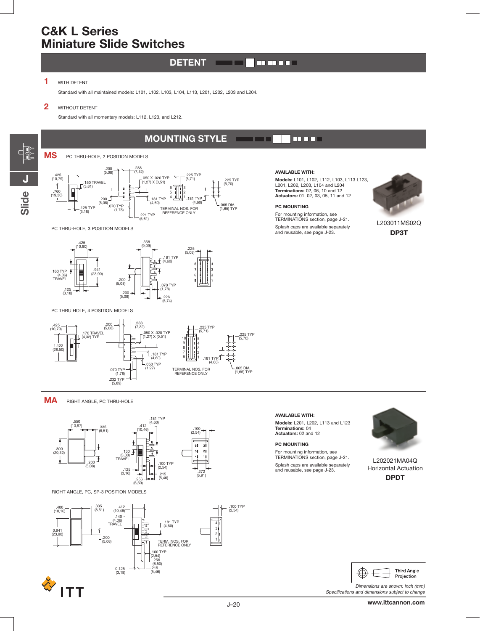#### **DETENT**  $\sqrt{ }$  $\blacksquare$

**MOUNTING STYLE**

#### **1** WITH DETENT

Standard with all maintained models: L101, L102, L103, L104, L113, L201, L202, L203 and L204.

#### **2** WITHOUT DETENT

Standard with all momentary models: L112, L123, and L212.

# dr<br>1 **JSlide**

.288 (7,32) .200 (5,08) .425 (10,79) .225 TYP (5,71) .050 X .020 TYP (1,27) X (0,51) .225 TYP (5,70) .150 TRAVEL 1  $\sqrt{(3,81)}$ 6 F 3 .760 (19,30) 5 2 .200 181 TYP  $J$ <sub>(4,60)</sub> 4 .181 TYP (4,60)  $(5,08)$ (065 DIA<br>(1,65) TYP .125 TYP .070 TYP (1,78) TERMINAL NOS. FOR  $(3,18)$ REFERENCE ONLY .221 TYP (5,61)

#### PC THRU-HOLE, 3 POSITION MODELS

**MS** PC THRU-HOLE, 2 POSITION MODELS



#### PC THRU HOLE, 4 POSITION MODELS



**MA** RIGHT ANGLE, PC THRU-HOLE



RIGHT ANGLE, PC, SP-3 POSITION MODELS



# **ITT**

#### **AVAILABLE WITH:**

 $\blacksquare$ 

**Models:** L101, L102, L112, L103, L113 L123,<br>L201, L202, L203, L104 and L204<br>**Terminations:** 02, 06, 10 and 12 **Actuators:** 01, 02, 03, 05, 11 and 12

#### **PC MOUNTING**

For mounting information, see TERMINATIONS section, page J-21. Splash caps are available separately and reusable, see page J-23.



L203011MS02Q **DP3T**

#### **AVAILABLE WITH: Models:** L201, L202, L113 and L123 **Terminations:** 04 **Actuators:** 02 and 12

#### **PC MOUNTING**

For mounting information, see TERMINATIONS section, page J-21. Splash caps are available separately and reusable, see page J-23.



L202021MA04Q Horizontal Actuation **DPDT**



Dimensions are shown: Inch (mm) Specifications and dimensions subject to change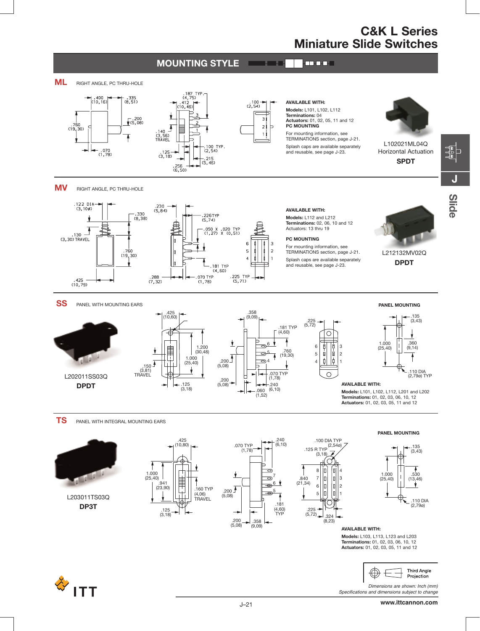**J**





Dimensions are shown: Inch (mm) Specifications and dimensions subject to change

Œ

Projection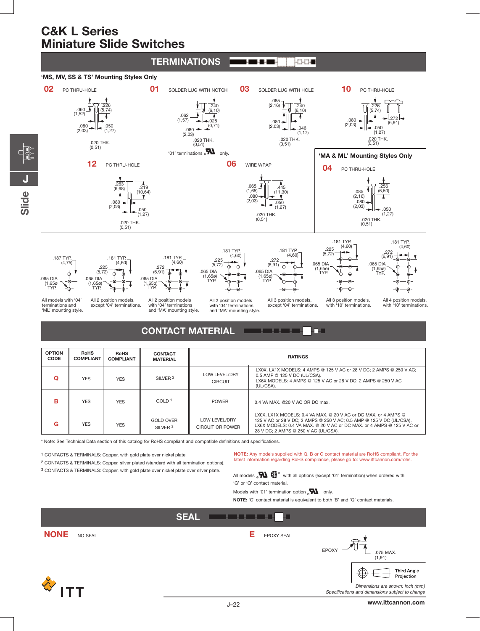**J**

**Slide**



| <b>OPTION</b><br>CODE | <b>RoHS</b><br><b>COMPLIANT</b> | <b>RoHS</b><br><b>COMPLIANT</b> | <b>CONTACT</b><br><b>MATERIAL</b>       | <b>RATINGS</b>                    |                                                                                                                                                                                                                                                          |
|-----------------------|---------------------------------|---------------------------------|-----------------------------------------|-----------------------------------|----------------------------------------------------------------------------------------------------------------------------------------------------------------------------------------------------------------------------------------------------------|
|                       | <b>YES</b>                      | <b>YES</b>                      | SILVER <sub>2</sub>                     | LOW LEVEL/DRY<br><b>CIRCUIT</b>   | LX0X, LX1X MODELS: 4 AMPS @ 125 V AC or 28 V DC: 2 AMPS @ 250 V AC:<br>0.5 AMP @ 125 V DC (UL/CSA).<br>LX6X MODELS: 4 AMPS @ 125 V AC or 28 V DC: 2 AMPS @ 250 V AC<br>(UL/CSA).                                                                         |
| R                     | <b>YES</b>                      | <b>YES</b>                      | GOLD <sup>1</sup>                       | <b>POWER</b>                      | 0.4 VA MAX, @20 V AC OR DC max.                                                                                                                                                                                                                          |
| G                     | <b>YES</b>                      | <b>YES</b>                      | <b>GOLD OVER</b><br>SILVER <sup>3</sup> | LOW LEVEL/DRY<br>CIRCUIT OR POWER | LX0X, LX1X MODELS: 0.4 VA MAX, @ 20 V AC or DC MAX, or 4 AMPS @<br>125 V AC or 28 V DC; 2 AMPS @ 250 V AC; 0.5 AMP @ 125 V DC (UL/CSA).<br>LX6X MODELS: 0.4 VA MAX. @ 20 V AC or DC MAX, or 4 AMPS @ 125 V AC or<br>28 V DC: 2 AMPS @ 250 V AC (UL/CSA). |

\* Note: See Technical Data section of this catalog for RoHS compliant and compatible definitions and specifications.

1 CONTACTS & TERMINALS: Copper, with gold plate over nickel plate.

2 CONTACTS & TERMINALS: Copper, silver plated (standard with all termination options).

3 CONTACTS & TERMINALS: Copper, with gold plate over nickel plate over silver plate.

**NOTE:** Any models supplied with Q, B or G contact material are RoHS compliant. For the latest information regarding RoHS compliance, please go to: www.ittcannon.com/rohs.

All models  $\mathbf{M} \mathbf{G}^{\circ}$  with all options (except '01' termination) when ordered with 'G' or 'Q' contact material.

Models with '01' termination option  $\sum_{n=1}^{\infty}$  only.

**NOTE:** 'G' contact material is equivalent to both 'B' and 'Q' contact materials.



**www.ittcannon.com**